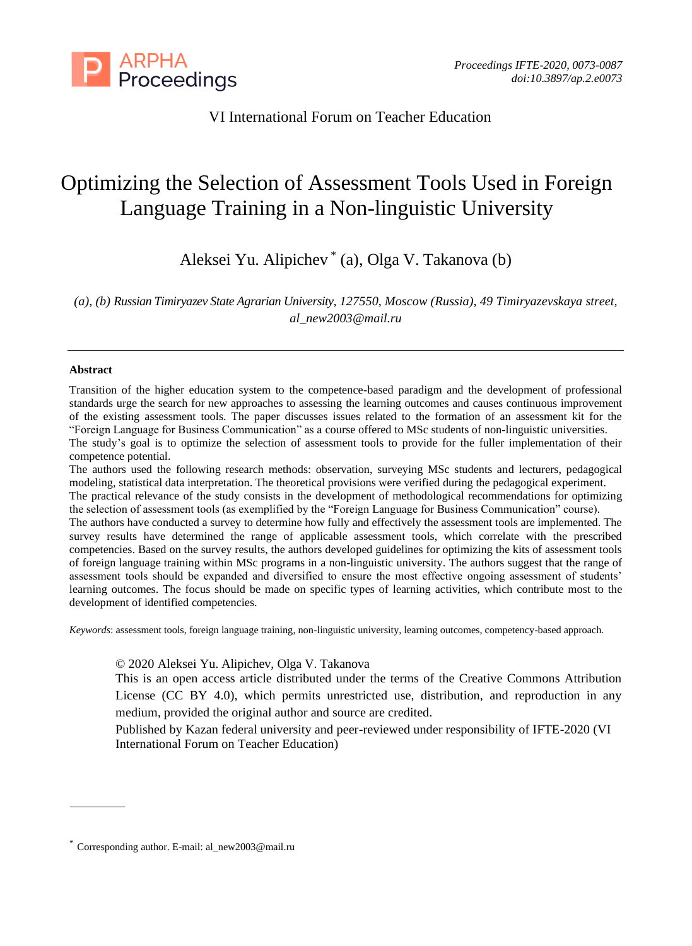

VI International Forum on Teacher Education

# Optimizing the Selection of Assessment Tools Used in Foreign Language Training in a Non-linguistic University

Aleksei Yu. Alipichev \* (a), Olga V. Takanova (b)

*(a), (b) Russian Timiryazev State Agrarian University, 127550, Moscow (Russia), 49 Timiryazevskaya street, al\_new2003@mail.ru*

#### **Abstract**

Transition of the higher education system to the competence-based paradigm and the development of professional standards urge the search for new approaches to assessing the learning outcomes and causes continuous improvement of the existing assessment tools. The paper discusses issues related to the formation of an assessment kit for the "Foreign Language for Business Communication" as a course offered to MSc students of non-linguistic universities. The study's goal is to optimize the selection of assessment tools to provide for the fuller implementation of their competence potential.

The authors used the following research methods: observation, surveying MSc students and lecturers, pedagogical modeling, statistical data interpretation. The theoretical provisions were verified during the pedagogical experiment. The practical relevance of the study consists in the development of methodological recommendations for optimizing the selection of assessment tools (as exemplified by the "Foreign Language for Business Communication" course). The authors have conducted a survey to determine how fully and effectively the assessment tools are implemented. The survey results have determined the range of applicable assessment tools, which correlate with the prescribed competencies. Based on the survey results, the authors developed guidelines for optimizing the kits of assessment tools of foreign language training within MSc programs in a non-linguistic university. The authors suggest that the range of assessment tools should be expanded and diversified to ensure the most effective ongoing assessment of students' learning outcomes. The focus should be made on specific types of learning activities, which contribute most to the development of identified competencies.

*Keywords*: assessment tools, foreign language training, non-linguistic university, learning outcomes, competency-based approach.

© 2020 Aleksei Yu. Alipichev, Olga V. Takanova

This is an open access article distributed under the terms of the Creative Commons Attribution License (CC BY 4.0), which permits unrestricted use, distribution, and reproduction in any medium, provided the original author and source are credited.

Published by Kazan federal university and peer-reviewed under responsibility of IFTE-2020 (VI International Forum on Teacher Education)

<sup>\*</sup> Corresponding author. E-mail: al\_new2003@mail.ru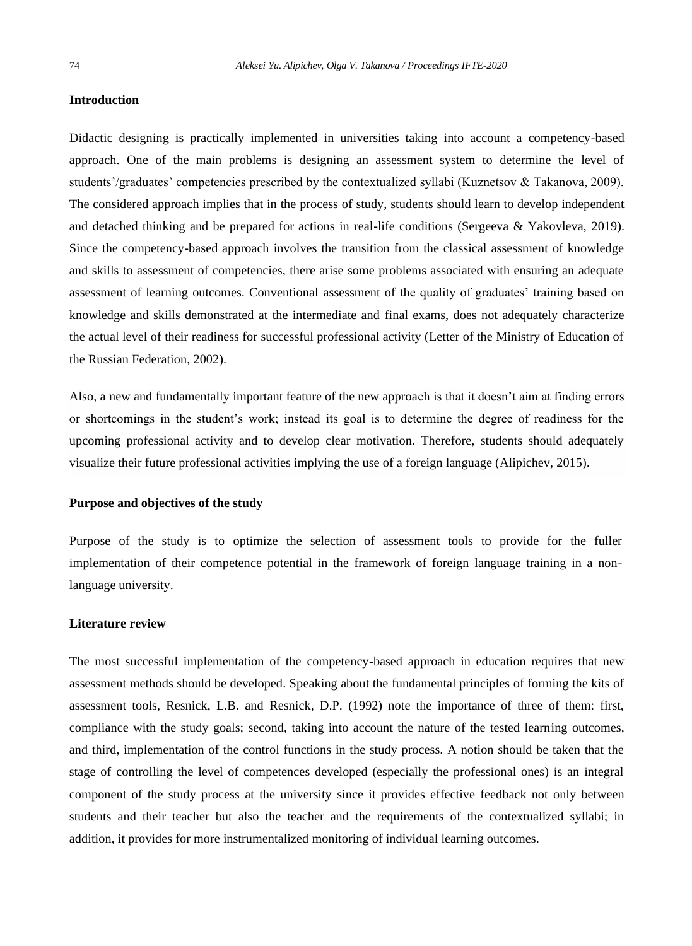## **Introduction**

Didactic designing is practically implemented in universities taking into account a competency-based approach. One of the main problems is designing an assessment system to determine the level of students'/graduates' competencies prescribed by the contextualized syllabi (Kuznetsov & Takanova, 2009). The considered approach implies that in the process of study, students should learn to develop independent and detached thinking and be prepared for actions in real-life conditions (Sergeeva & Yakovleva, 2019). Since the competency-based approach involves the transition from the classical assessment of knowledge and skills to assessment of competencies, there arise some problems associated with ensuring an adequate assessment of learning outcomes. Conventional assessment of the quality of graduates' training based on knowledge and skills demonstrated at the intermediate and final exams, does not adequately characterize the actual level of their readiness for successful professional activity (Letter of the Ministry of Education of the Russian Federation, 2002).

Also, a new and fundamentally important feature of the new approach is that it doesn't aim at finding errors or shortcomings in the student's work; instead its goal is to determine the degree of readiness for the upcoming professional activity and to develop clear motivation. Therefore, students should adequately visualize their future professional activities implying the use of a foreign language (Alipichev, 2015).

## **Purpose and objectives of the study**

Purpose of the study is to optimize the selection of assessment tools to provide for the fuller implementation of their competence potential in the framework of foreign language training in a nonlanguage university.

#### **Literature review**

The most successful implementation of the competency-based approach in education requires that new assessment methods should be developed. Speaking about the fundamental principles of forming the kits of assessment tools, Resnick, L.B. and Resnick, D.P. (1992) note the importance of three of them: first, compliance with the study goals; second, taking into account the nature of the tested learning outcomes, and third, implementation of the control functions in the study process. A notion should be taken that the stage of controlling the level of competences developed (especially the professional ones) is an integral component of the study process at the university since it provides effective feedback not only between students and their teacher but also the teacher and the requirements of the contextualized syllabi; in addition, it provides for more instrumentalized monitoring of individual learning outcomes.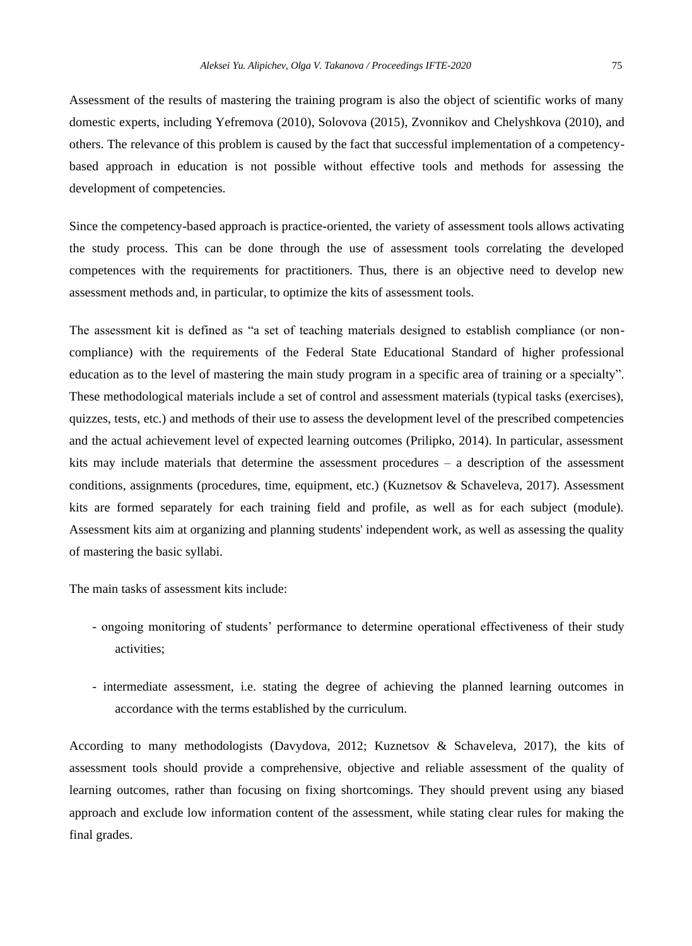Assessment of the results of mastering the training program is also the object of scientific works of many domestic experts, including Yefremova (2010), Solovova (2015), Zvonnikov and Chelyshkova (2010), and others. The relevance of this problem is caused by the fact that successful implementation of a competencybased approach in education is not possible without effective tools and methods for assessing the development of competencies.

Since the competency-based approach is practice-oriented, the variety of assessment tools allows activating the study process. This can be done through the use of assessment tools correlating the developed competences with the requirements for practitioners. Thus, there is an objective need to develop new assessment methods and, in particular, to optimize the kits of assessment tools.

The assessment kit is defined as "a set of teaching materials designed to establish compliance (or noncompliance) with the requirements of the Federal State Educational Standard of higher professional education as to the level of mastering the main study program in a specific area of training or a specialty". These methodological materials include a set of control and assessment materials (typical tasks (exercises), quizzes, tests, etc.) and methods of their use to assess the development level of the prescribed competencies and the actual achievement level of expected learning outcomes (Prilipko, 2014). In particular, assessment kits may include materials that determine the assessment procedures – a description of the assessment conditions, assignments (procedures, time, equipment, etc.) (Kuznetsov & Schaveleva, 2017). Assessment kits are formed separately for each training field and profile, as well as for each subject (module). Assessment kits aim at organizing and planning students' independent work, as well as assessing the quality of mastering the basic syllabi.

The main tasks of assessment kits include:

- ongoing monitoring of students' performance to determine operational effectiveness of their study activities;
- intermediate assessment, i.e. stating the degree of achieving the planned learning outcomes in accordance with the terms established by the curriculum.

According to many methodologists (Davydova, 2012; Kuznetsov & Schaveleva, 2017), the kits of assessment tools should provide a comprehensive, objective and reliable assessment of the quality of learning outcomes, rather than focusing on fixing shortcomings. They should prevent using any biased approach and exclude low information content of the assessment, while stating clear rules for making the final grades.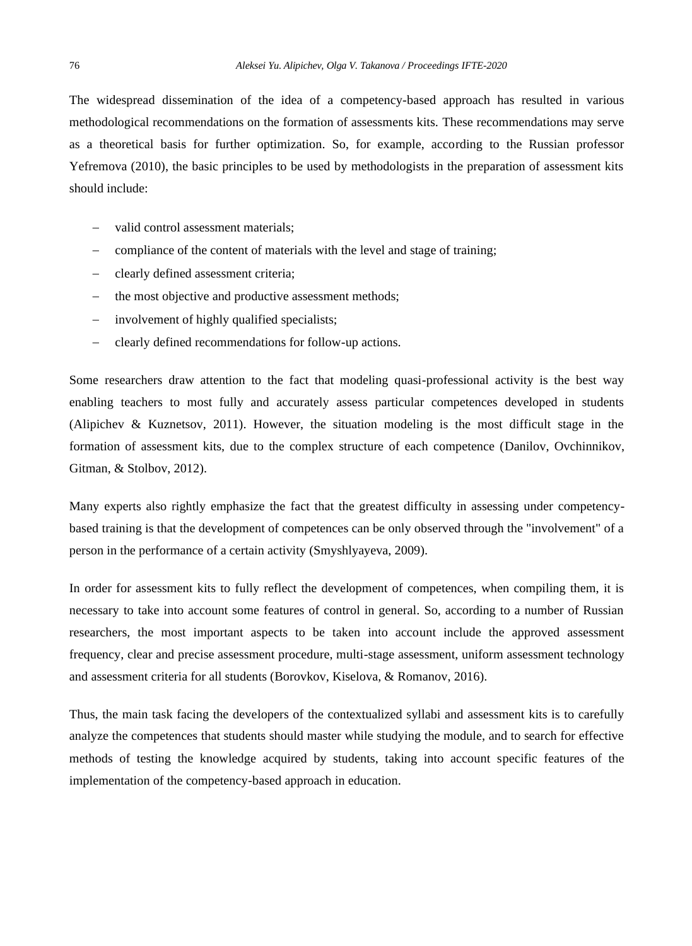The widespread dissemination of the idea of a competency-based approach has resulted in various methodological recommendations on the formation of assessments kits. These recommendations may serve as a theoretical basis for further optimization. So, for example, according to the Russian professor Yefremova (2010), the basic principles to be used by methodologists in the preparation of assessment kits should include:

- valid control assessment materials;
- compliance of the content of materials with the level and stage of training;
- − clearly defined assessment criteria;
- the most objective and productive assessment methods;
- − involvement of highly qualified specialists;
- − clearly defined recommendations for follow-up actions.

Some researchers draw attention to the fact that modeling quasi-professional activity is the best way enabling teachers to most fully and accurately assess particular competences developed in students (Alipichev & Kuznetsov, 2011). However, the situation modeling is the most difficult stage in the formation of assessment kits, due to the complex structure of each competence (Danilov, Ovchinnikov, Gitman, & Stolbov, 2012).

Many experts also rightly emphasize the fact that the greatest difficulty in assessing under competencybased training is that the development of competences can be only observed through the "involvement" of a person in the performance of a certain activity (Smyshlyayeva, 2009).

In order for assessment kits to fully reflect the development of competences, when compiling them, it is necessary to take into account some features of control in general. So, according to a number of Russian researchers, the most important aspects to be taken into account include the approved assessment frequency, clear and precise assessment procedure, multi-stage assessment, uniform assessment technology and assessment criteria for all students (Borovkov, Kiselova, & Romanov, 2016).

Thus, the main task facing the developers of the contextualized syllabi and assessment kits is to carefully analyze the competences that students should master while studying the module, and to search for effective methods of testing the knowledge acquired by students, taking into account specific features of the implementation of the competency-based approach in education.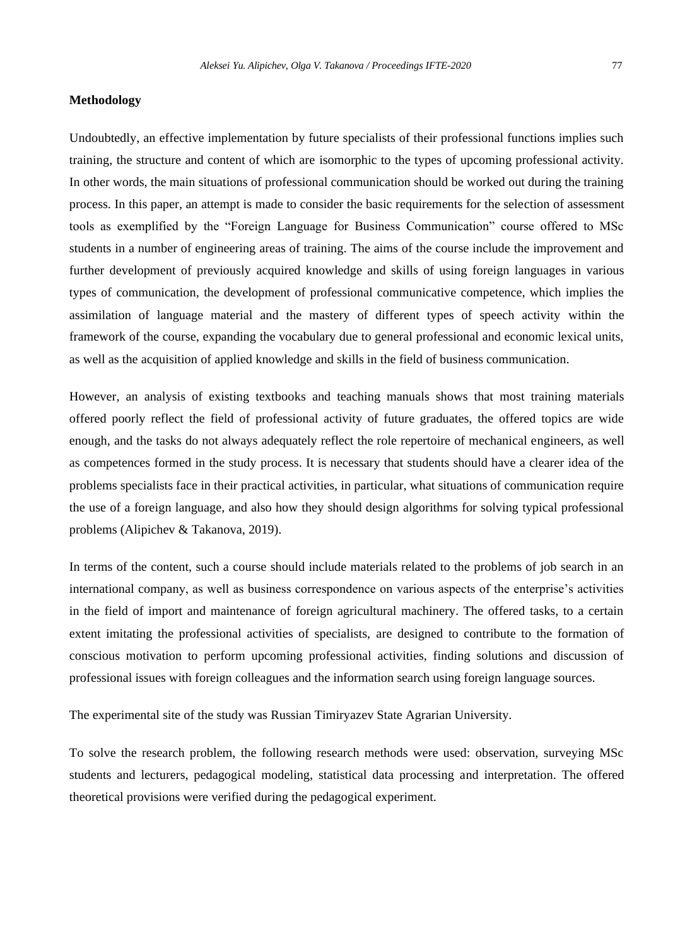## **Methodology**

Undoubtedly, an effective implementation by future specialists of their professional functions implies such training, the structure and content of which are isomorphic to the types of upcoming professional activity. In other words, the main situations of professional communication should be worked out during the training process. In this paper, an attempt is made to consider the basic requirements for the selection of assessment tools as exemplified by the "Foreign Language for Business Communication" course offered to MSc students in a number of engineering areas of training. The aims of the course include the improvement and further development of previously acquired knowledge and skills of using foreign languages in various types of communication, the development of professional communicative competence, which implies the assimilation of language material and the mastery of different types of speech activity within the framework of the course, expanding the vocabulary due to general professional and economic lexical units, as well as the acquisition of applied knowledge and skills in the field of business communication.

However, an analysis of existing textbooks and teaching manuals shows that most training materials offered poorly reflect the field of professional activity of future graduates, the offered topics are wide enough, and the tasks do not always adequately reflect the role repertoire of mechanical engineers, as well as competences formed in the study process. It is necessary that students should have a clearer idea of the problems specialists face in their practical activities, in particular, what situations of communication require the use of a foreign language, and also how they should design algorithms for solving typical professional problems (Alipichev & Takanova, 2019).

In terms of the content, such a course should include materials related to the problems of job search in an international company, as well as business correspondence on various aspects of the enterprise's activities in the field of import and maintenance of foreign agricultural machinery. The offered tasks, to a certain extent imitating the professional activities of specialists, are designed to contribute to the formation of conscious motivation to perform upcoming professional activities, finding solutions and discussion of professional issues with foreign colleagues and the information search using foreign language sources.

The experimental site of the study was Russian Timiryazev State Agrarian University.

To solve the research problem, the following research methods were used: observation, surveying MSc students and lecturers, pedagogical modeling, statistical data processing and interpretation. The offered theoretical provisions were verified during the pedagogical experiment.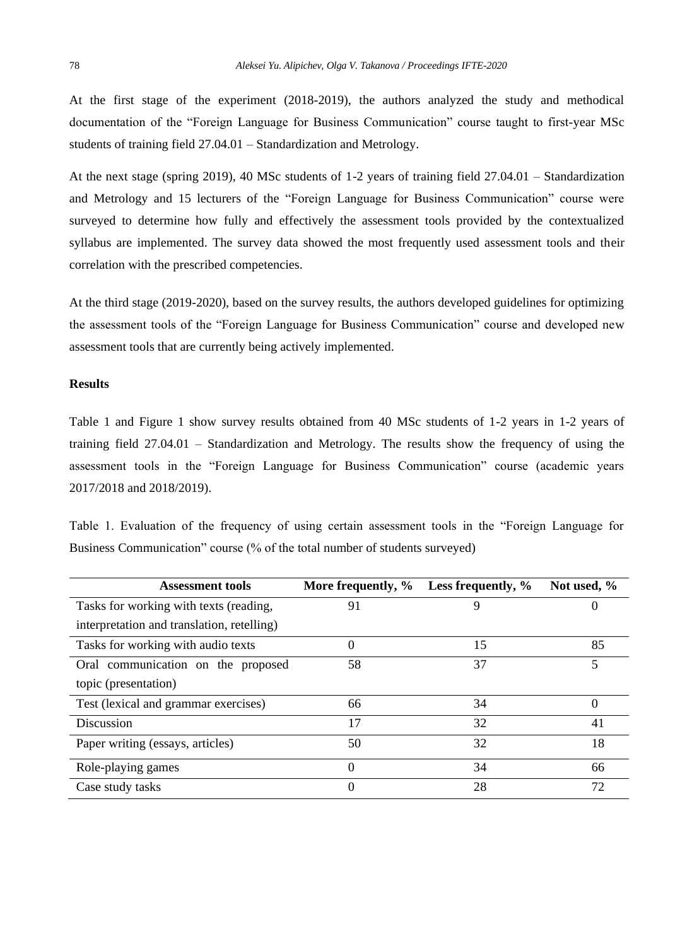At the first stage of the experiment (2018-2019), the authors analyzed the study and methodical documentation of the "Foreign Language for Business Communication" course taught to first-year MSc students of training field 27.04.01 – Standardization and Metrology.

At the next stage (spring 2019), 40 MSc students of 1-2 years of training field 27.04.01 – Standardization and Metrology and 15 lecturers of the "Foreign Language for Business Communication" course were surveyed to determine how fully and effectively the assessment tools provided by the contextualized syllabus are implemented. The survey data showed the most frequently used assessment tools and their correlation with the prescribed competencies.

At the third stage (2019-2020), based on the survey results, the authors developed guidelines for optimizing the assessment tools of the "Foreign Language for Business Communication" course and developed new assessment tools that are currently being actively implemented.

## **Results**

Table 1 and Figure 1 show survey results obtained from 40 MSc students of 1-2 years in 1-2 years of training field 27.04.01 – Standardization and Metrology. The results show the frequency of using the assessment tools in the "Foreign Language for Business Communication" course (academic years 2017/2018 and 2018/2019).

Table 1. Evaluation of the frequency of using certain assessment tools in the "Foreign Language for Business Communication" course (% of the total number of students surveyed)

| <b>Assessment tools</b>                    | More frequently, % | Less frequently, % | Not used, % |
|--------------------------------------------|--------------------|--------------------|-------------|
| Tasks for working with texts (reading,     | 91                 | 9                  | 0           |
| interpretation and translation, retelling) |                    |                    |             |
| Tasks for working with audio texts         | 0                  | 15                 | 85          |
| Oral communication on the proposed         | 58                 | 37                 | 5           |
| topic (presentation)                       |                    |                    |             |
| Test (lexical and grammar exercises)       | 66                 | 34                 | 0           |
| Discussion                                 | 17                 | 32                 | 41          |
| Paper writing (essays, articles)           | 50                 | 32                 | 18          |
| Role-playing games                         | 0                  | 34                 | 66          |
| Case study tasks                           | 0                  | 28                 | 72          |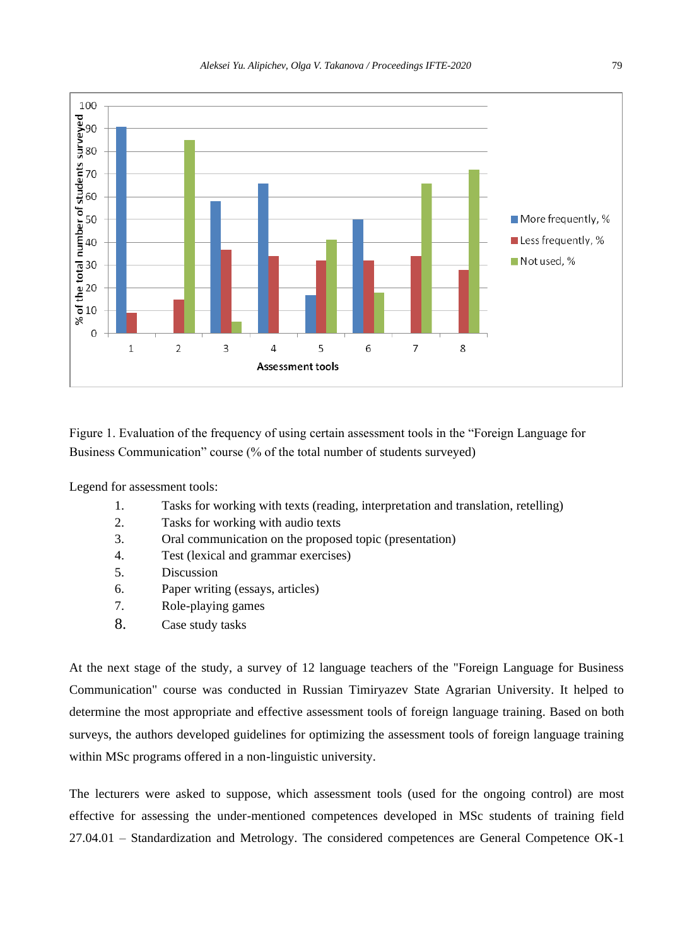

Figure 1. Evaluation of the frequency of using certain assessment tools in the "Foreign Language for Business Communication" course (% of the total number of students surveyed)

Legend for assessment tools:

- 1. Tasks for working with texts (reading, interpretation and translation, retelling)
- 2. Tasks for working with audio texts
- 3. Oral communication on the proposed topic (presentation)
- 4. Test (lexical and grammar exercises)
- 5. Discussion
- 6. Paper writing (essays, articles)
- 7. Role-playing games
- 8. Case study tasks

At the next stage of the study, a survey of 12 language teachers of the "Foreign Language for Business Communication" course was conducted in Russian Timiryazev State Agrarian University. It helped to determine the most appropriate and effective assessment tools of foreign language training. Based on both surveys, the authors developed guidelines for optimizing the assessment tools of foreign language training within MSc programs offered in a non-linguistic university.

The lecturers were asked to suppose, which assessment tools (used for the ongoing control) are most effective for assessing the under-mentioned competences developed in MSc students of training field 27.04.01 – Standardization and Metrology. The considered competences are General Competence OK-1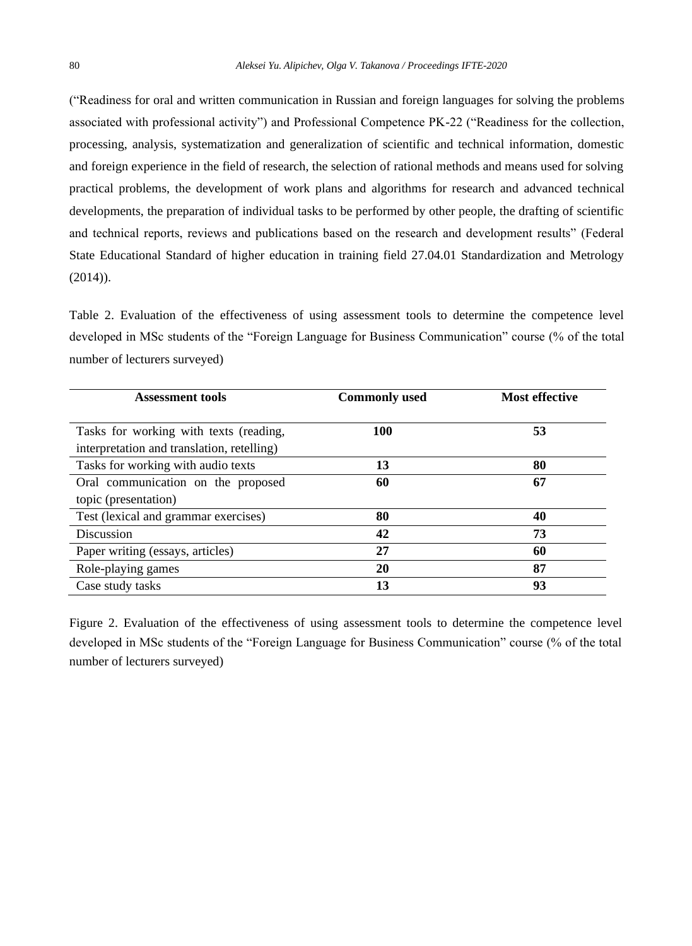("Readiness for oral and written communication in Russian and foreign languages for solving the problems associated with professional activity") and Professional Competence PK-22 ("Readiness for the collection, processing, analysis, systematization and generalization of scientific and technical information, domestic and foreign experience in the field of research, the selection of rational methods and means used for solving practical problems, the development of work plans and algorithms for research and advanced technical developments, the preparation of individual tasks to be performed by other people, the drafting of scientific and technical reports, reviews and publications based on the research and development results" (Federal State Educational Standard of higher education in training field 27.04.01 Standardization and Metrology (2014)).

Table 2. Evaluation of the effectiveness of using assessment tools to determine the competence level developed in MSc students of the "Foreign Language for Business Communication" course (% of the total number of lecturers surveyed)

| <b>Assessment tools</b>                    | <b>Commonly used</b> | <b>Most effective</b> |  |
|--------------------------------------------|----------------------|-----------------------|--|
|                                            |                      |                       |  |
| Tasks for working with texts (reading,     | 100                  | 53                    |  |
| interpretation and translation, retelling) |                      |                       |  |
| Tasks for working with audio texts         | 13                   | 80                    |  |
| Oral communication on the proposed         | 60                   | 67                    |  |
| topic (presentation)                       |                      |                       |  |
| Test (lexical and grammar exercises)       | 80                   | 40                    |  |
| Discussion                                 | 42                   | 73                    |  |
| Paper writing (essays, articles)           | 27                   | 60                    |  |
| Role-playing games                         | 20                   | 87                    |  |
| Case study tasks                           | 13                   | 93                    |  |

Figure 2. Evaluation of the effectiveness of using assessment tools to determine the competence level developed in MSc students of the "Foreign Language for Business Communication" course (% of the total number of lecturers surveyed)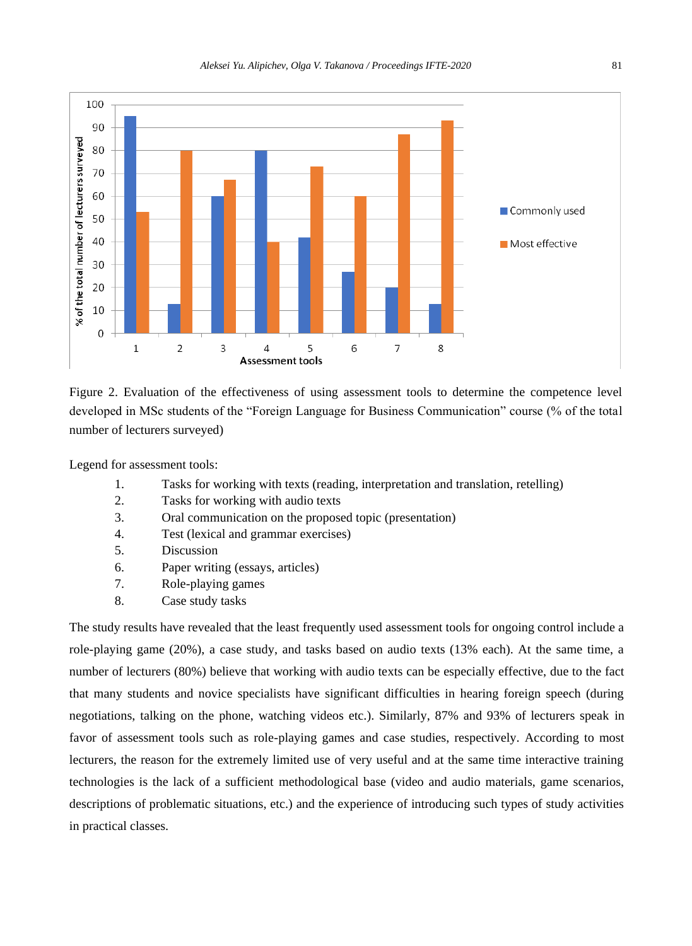

Figure 2. Evaluation of the effectiveness of using assessment tools to determine the competence level developed in MSc students of the "Foreign Language for Business Communication" course (% of the total number of lecturers surveyed)

Legend for assessment tools:

- 1. Tasks for working with texts (reading, interpretation and translation, retelling)
- 2. Tasks for working with audio texts
- 3. Oral communication on the proposed topic (presentation)
- 4. Test (lexical and grammar exercises)
- 5. Discussion
- 6. Paper writing (essays, articles)
- 7. Role-playing games
- 8. Case study tasks

The study results have revealed that the least frequently used assessment tools for ongoing control include a role-playing game (20%), a case study, and tasks based on audio texts (13% each). At the same time, a number of lecturers (80%) believe that working with audio texts can be especially effective, due to the fact that many students and novice specialists have significant difficulties in hearing foreign speech (during negotiations, talking on the phone, watching videos etc.). Similarly, 87% and 93% of lecturers speak in favor of assessment tools such as role-playing games and case studies, respectively. According to most lecturers, the reason for the extremely limited use of very useful and at the same time interactive training technologies is the lack of a sufficient methodological base (video and audio materials, game scenarios, descriptions of problematic situations, etc.) and the experience of introducing such types of study activities in practical classes.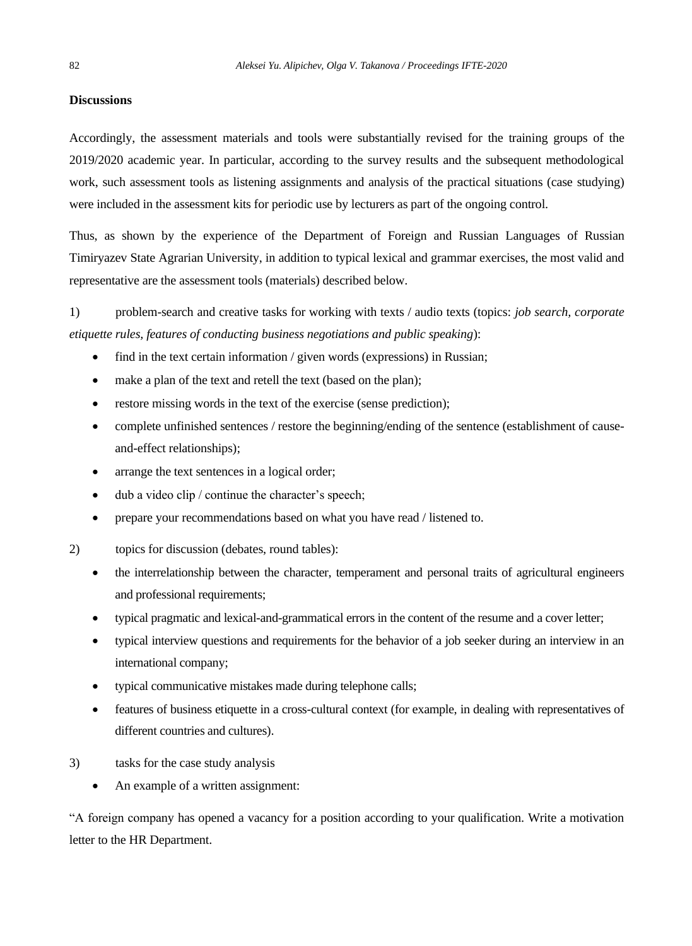## **Discussions**

Accordingly, the assessment materials and tools were substantially revised for the training groups of the 2019/2020 academic year. In particular, according to the survey results and the subsequent methodological work, such assessment tools as listening assignments and analysis of the practical situations (case studying) were included in the assessment kits for periodic use by lecturers as part of the ongoing control.

Thus, as shown by the experience of the Department of Foreign and Russian Languages of Russian Timiryazev State Agrarian University, in addition to typical lexical and grammar exercises, the most valid and representative are the assessment tools (materials) described below.

1) problem-search and creative tasks for working with texts / audio texts (topics: *job search, corporate etiquette rules, features of conducting business negotiations and public speaking*):

- find in the text certain information / given words (expressions) in Russian;
- make a plan of the text and retell the text (based on the plan);
- restore missing words in the text of the exercise (sense prediction);
- complete unfinished sentences / restore the beginning/ending of the sentence (establishment of causeand-effect relationships);
- arrange the text sentences in a logical order;
- dub a video clip / continue the character's speech;
- prepare your recommendations based on what you have read / listened to.
- 2) topics for discussion (debates, round tables):
	- the interrelationship between the character, temperament and personal traits of agricultural engineers and professional requirements;
	- typical pragmatic and lexical-and-grammatical errors in the content of the resume and a cover letter;
	- typical interview questions and requirements for the behavior of a job seeker during an interview in an international company;
	- typical communicative mistakes made during telephone calls;
	- features of business etiquette in a cross-cultural context (for example, in dealing with representatives of different countries and cultures).
- 3) tasks for the case study analysis
	- An example of a written assignment:

"A foreign company has opened a vacancy for a position according to your qualification. Write a motivation letter to the HR Department.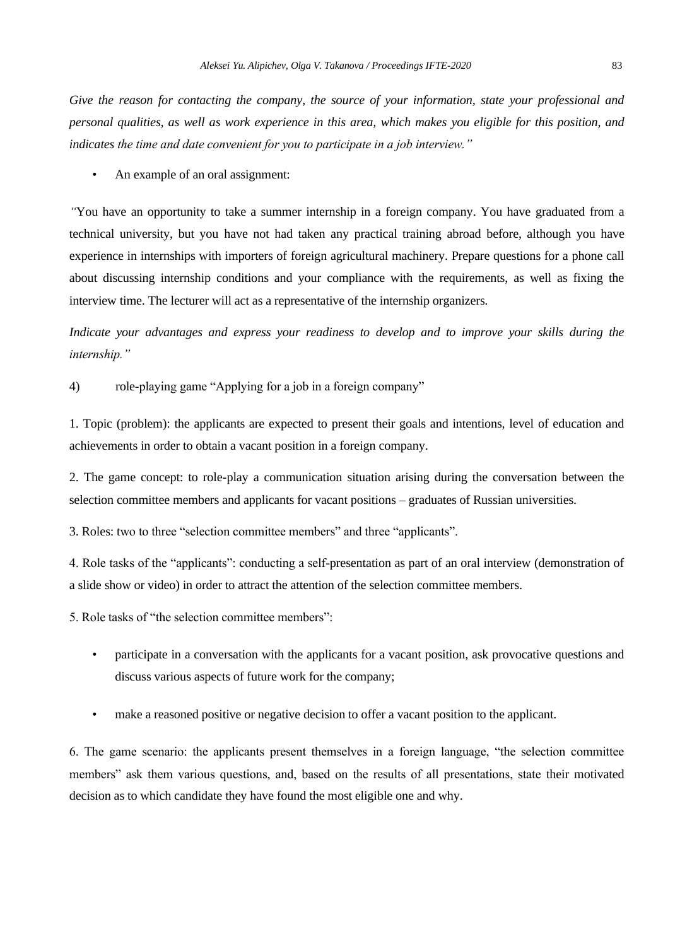*Give the reason for contacting the company, the source of your information, state your professional and personal qualities, as well as work experience in this area, which makes you eligible for this position, and indicates the time and date convenient for you to participate in a job interview."*

• An example of an oral assignment:

*"*You have an opportunity to take a summer internship in a foreign company. You have graduated from a technical university, but you have not had taken any practical training abroad before, although you have experience in internships with importers of foreign agricultural machinery. Prepare questions for a phone call about discussing internship conditions and your compliance with the requirements, as well as fixing the interview time. The lecturer will act as a representative of the internship organizers*.*

*Indicate your advantages and express your readiness to develop and to improve your skills during the internship."*

4) role-playing game "Applying for a job in a foreign company"

1. Topic (problem): the applicants are expected to present their goals and intentions, level of education and achievements in order to obtain a vacant position in a foreign company.

2. The game concept: to role-play a communication situation arising during the conversation between the selection committee members and applicants for vacant positions – graduates of Russian universities.

3. Roles: two to three "selection committee members" and three "applicants".

4. Role tasks of the "applicants": conducting a self-presentation as part of an oral interview (demonstration of a slide show or video) in order to attract the attention of the selection committee members.

5. Role tasks of "the selection committee members":

- participate in a conversation with the applicants for a vacant position, ask provocative questions and discuss various aspects of future work for the company;
- make a reasoned positive or negative decision to offer a vacant position to the applicant.

6. The game scenario: the applicants present themselves in a foreign language, "the selection committee members" ask them various questions, and, based on the results of all presentations, state their motivated decision as to which candidate they have found the most eligible one and why.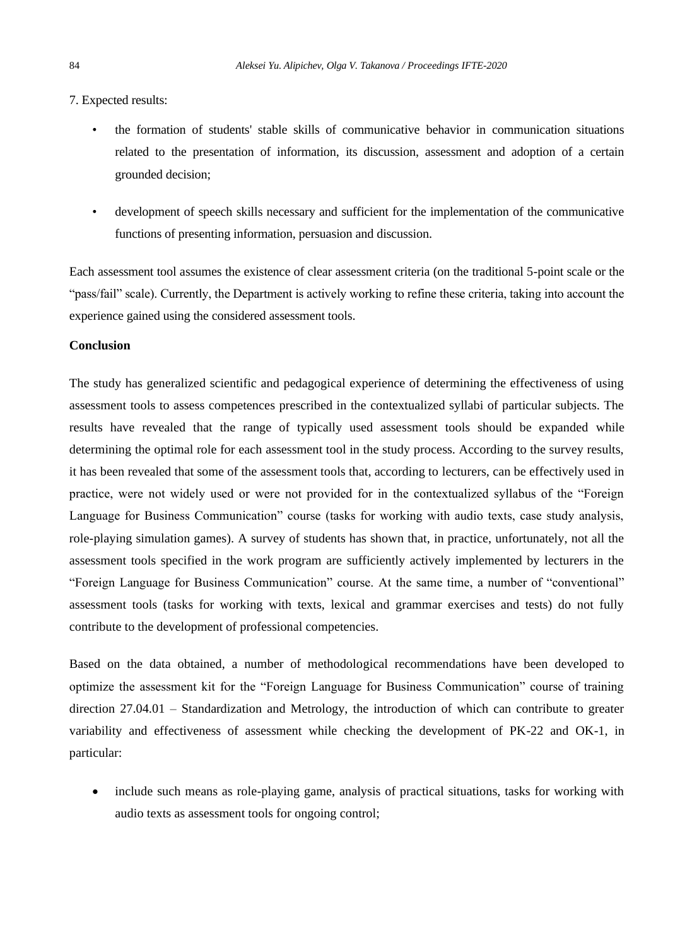7. Expected results:

- the formation of students' stable skills of communicative behavior in communication situations related to the presentation of information, its discussion, assessment and adoption of a certain grounded decision;
- development of speech skills necessary and sufficient for the implementation of the communicative functions of presenting information, persuasion and discussion.

Each assessment tool assumes the existence of clear assessment criteria (on the traditional 5-point scale or the "pass/fail" scale). Currently, the Department is actively working to refine these criteria, taking into account the experience gained using the considered assessment tools.

## **Conclusion**

The study has generalized scientific and pedagogical experience of determining the effectiveness of using assessment tools to assess competences prescribed in the contextualized syllabi of particular subjects. The results have revealed that the range of typically used assessment tools should be expanded while determining the optimal role for each assessment tool in the study process. According to the survey results, it has been revealed that some of the assessment tools that, according to lecturers, can be effectively used in practice, were not widely used or were not provided for in the contextualized syllabus of the "Foreign Language for Business Communication" course (tasks for working with audio texts, case study analysis, role-playing simulation games). A survey of students has shown that, in practice, unfortunately, not all the assessment tools specified in the work program are sufficiently actively implemented by lecturers in the "Foreign Language for Business Communication" course. At the same time, a number of "conventional" assessment tools (tasks for working with texts, lexical and grammar exercises and tests) do not fully contribute to the development of professional competencies.

Based on the data obtained, a number of methodological recommendations have been developed to optimize the assessment kit for the "Foreign Language for Business Communication" course of training direction 27.04.01 – Standardization and Metrology, the introduction of which can contribute to greater variability and effectiveness of assessment while checking the development of PK-22 and OK-1, in particular:

include such means as role-playing game, analysis of practical situations, tasks for working with audio texts as assessment tools for ongoing control;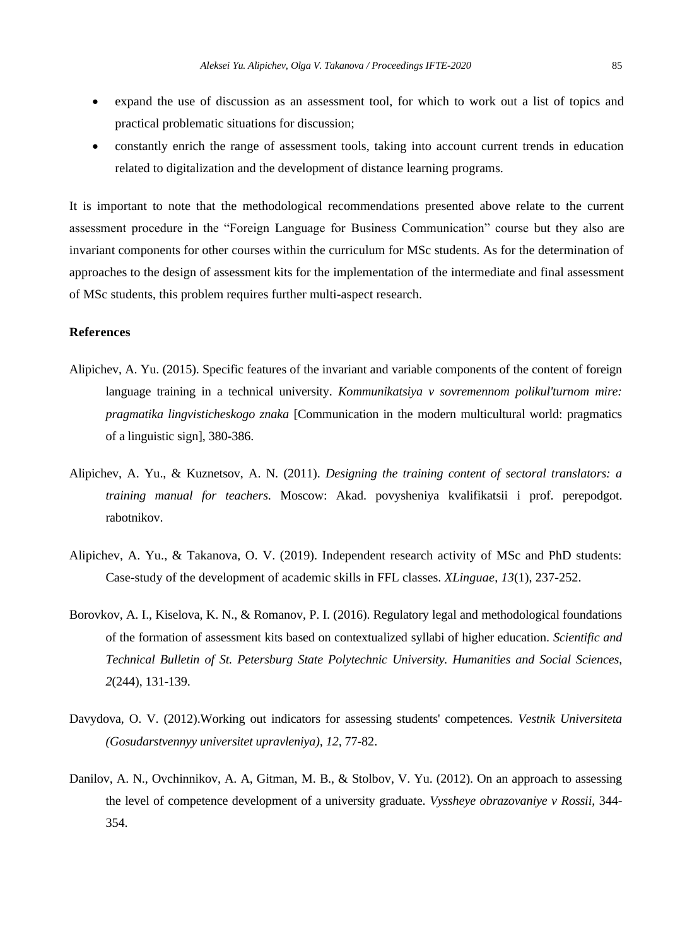- expand the use of discussion as an assessment tool, for which to work out a list of topics and practical problematic situations for discussion;
- constantly enrich the range of assessment tools, taking into account current trends in education related to digitalization and the development of distance learning programs.

It is important to note that the methodological recommendations presented above relate to the current assessment procedure in the "Foreign Language for Business Communication" course but they also are invariant components for other courses within the curriculum for MSc students. As for the determination of approaches to the design of assessment kits for the implementation of the intermediate and final assessment of MSc students, this problem requires further multi-aspect research.

# **References**

- Alipichev, A. Yu. (2015). Specific features of the invariant and variable components of the content of foreign language training in a technical university. *Kommunikatsiya v sovremennom polikul'turnom mire: pragmatika lingvisticheskogo znaka* [Communication in the modern multicultural world: pragmatics of a linguistic sign], 380-386.
- Alipichev, A. Yu., & Kuznetsov, A. N. (2011). *Designing the training content of sectoral translators: a training manual for teachers*. Moscow: Akad. povysheniya kvalifikatsii i prof. perepodgot. rabotnikov.
- Alipichev, A. Yu., & Takanova, O. V. (2019). Independent research activity of MSc and PhD students: Case-study of the development of academic skills in FFL classes. *XLinguae*, *13*(1), 237-252.
- Borovkov, A. I., Kiselova, K. N., & Romanov, P. I. (2016). Regulatory legal and methodological foundations of the formation of assessment kits based on contextualized syllabi of higher education. *Scientific and Technical Bulletin of St. Petersburg State Polytechnic University. Humanities and Social Sciences*, *2*(244), 131-139.
- Davydova, O. V. (2012).Working out indicators for assessing students' competences. *Vestnik Universiteta (Gosudarstvennyy universitet upravleniya), 12,* 77-82.
- Danilov, A. N., Ovchinnikov, A. A, Gitman, M. B., & Stolbov, V. Yu. (2012). On an approach to assessing the level of competence development of a university graduate. *Vyssheye obrazovaniye v Rossii*, 344- 354.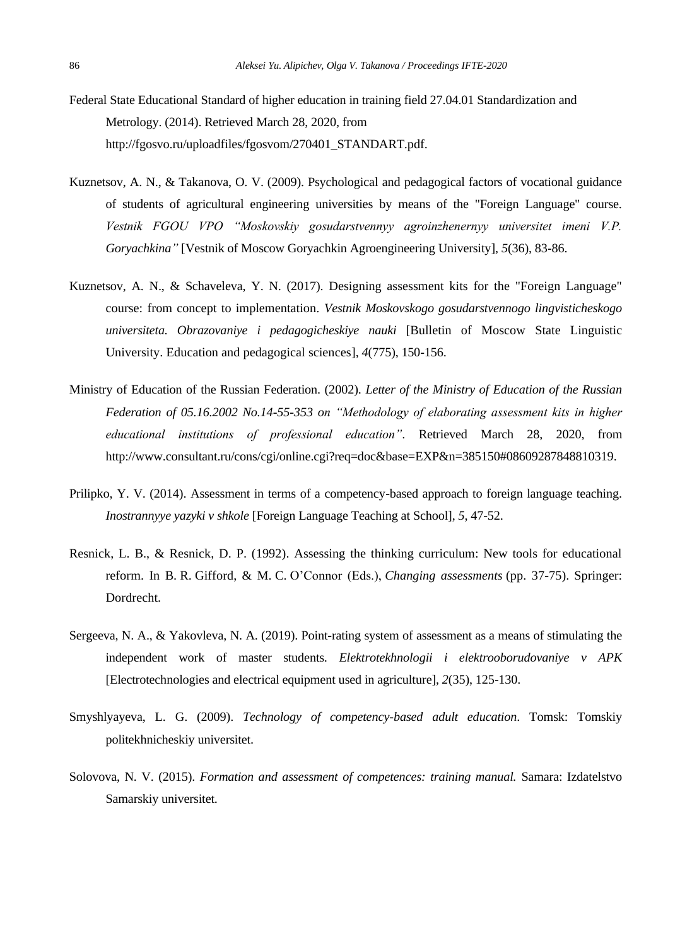- Federal State Educational Standard of higher education in training field 27.04.01 Standardization and Metrology. (2014). Retrieved March 28, 2020, from [http://fgosvo.ru/uploadfiles/fgosvom/270401\\_STANDART.pdf.](http://fgosvo.ru/uploadfiles/fgosvom/270401_STANDART.pdf)
- Kuznetsov, A. N., & Takanova, O. V. (2009). Psychological and pedagogical factors of vocational guidance of students of agricultural engineering universities by means of the "Foreign Language" course. *Vestnik FGOU VPO "Moskovskiy gosudarstvennyy agroinzhenernyy universitet imeni V.P. Goryachkina"* [Vestnik of Moscow Goryachkin Agroengineering University], *5*(36), 83-86.
- Kuznetsov, A. N., & Schaveleva, Y. N. (2017). Designing assessment kits for the "Foreign Language" course: from concept to implementation. *Vestnik Moskovskogo gosudarstvennogo lingvisticheskogo universiteta. Obrazovaniye i pedagogicheskiye nauki* [Bulletin of Moscow State Linguistic University. Education and pedagogical sciences], *4*(775), 150-156.
- Ministry of Education of the Russian Federation. (2002). *Letter of the Ministry of Education of the Russian Federation of 05.16.2002 No.14-55-353 on "Methodology of elaborating assessment kits in higher educational institutions of professional education"*. Retrieved March 28, 2020, from [http://www.consultant.ru/cons/cgi/online.cgi?req=doc&base=EXP&n=385150#08609287848810319.](http://www.consultant.ru/cons/cgi/online.cgi?req=doc&base=EXP&n=385150#08609287848810319)
- Prilipko, Y. V. (2014). Assessment in terms of a competency-based approach to foreign language teaching. *Inostrannyye yazyki v shkole* [Foreign Language Teaching at School], *5*, 47-52.
- Resnick, L. B., & Resnick, D. P. (1992). Assessing the thinking curriculum: New tools for educational reform. In B. R. Gifford, & M. C. O'Connor (Eds.), *Changing assessments* (pp. 37-75). Springer: Dordrecht.
- Sergeeva, N. A., & Yakovleva, N. A. (2019). Point-rating system of assessment as a means of stimulating the independent work of master students. *Elektrotekhnologii i elektrooborudovaniye v APK* [Electrotechnologies and electrical equipment used in agriculture], *2*(35), 125-130.
- Smyshlyayeva, L. G. (2009). *Technology of competency-based adult education*. Tomsk: Tomskiy politekhnicheskiy universitet.
- Solovova, N. V. (2015). *Formation and assessment of competences: training manual.* Samara: Izdatelstvo Samarskiy universitet.